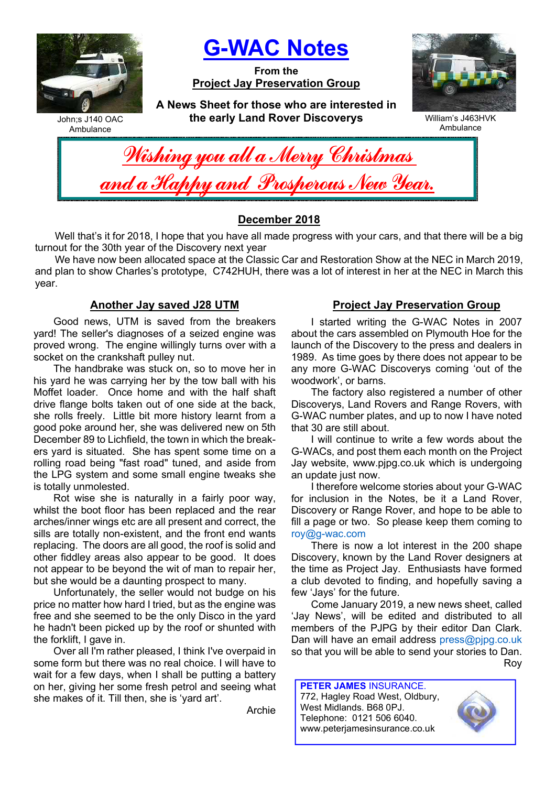

G-WAC Notes

From the Project Jay Preservation Group



John;s J140 OAC Ambulance

A News Sheet for those who are interested in the early Land Rover Discoverys



| you all a Mer                    |  |
|----------------------------------|--|
| <b>Mu and Pros</b><br><b>ama</b> |  |

## December 2018

Well that's it for 2018, I hope that you have all made progress with your cars, and that there will be a big turnout for the 30th year of the Discovery next year

We have now been allocated space at the Classic Car and Restoration Show at the NEC in March 2019, and plan to show Charles's prototype, C742HUH, there was a lot of interest in her at the NEC in March this year.

### Another Jay saved J28 UTM

Good news, UTM is saved from the breakers yard! The seller's diagnoses of a seized engine was proved wrong. The engine willingly turns over with a socket on the crankshaft pulley nut.

The handbrake was stuck on, so to move her in his yard he was carrying her by the tow ball with his Moffet loader. Once home and with the half shaft drive flange bolts taken out of one side at the back, she rolls freely. Little bit more history learnt from a good poke around her, she was delivered new on 5th December 89 to Lichfield, the town in which the breakers yard is situated. She has spent some time on a rolling road being "fast road" tuned, and aside from the LPG system and some small engine tweaks she is totally unmolested.

Rot wise she is naturally in a fairly poor way, whilst the boot floor has been replaced and the rear arches/inner wings etc are all present and correct, the sills are totally non-existent, and the front end wants replacing. The doors are all good, the roof is solid and other fiddley areas also appear to be good. It does not appear to be beyond the wit of man to repair her, but she would be a daunting prospect to many.

Unfortunately, the seller would not budge on his price no matter how hard I tried, but as the engine was free and she seemed to be the only Disco in the yard he hadn't been picked up by the roof or shunted with the forklift, I gave in.

Over all I'm rather pleased, I think I've overpaid in some form but there was no real choice. I will have to wait for a few days, when I shall be putting a battery on her, giving her some fresh petrol and seeing what she makes of it. Till then, she is 'yard art'.

Archie

## Project Jay Preservation Group

I started writing the G-WAC Notes in 2007 about the cars assembled on Plymouth Hoe for the launch of the Discovery to the press and dealers in 1989. As time goes by there does not appear to be any more G-WAC Discoverys coming 'out of the woodwork', or barns.

The factory also registered a number of other Discoverys, Land Rovers and Range Rovers, with G-WAC number plates, and up to now I have noted that 30 are still about.

I will continue to write a few words about the G-WACs, and post them each month on the Project Jay website, www.pjpg.co.uk which is undergoing an update just now.

I therefore welcome stories about your G-WAC for inclusion in the Notes, be it a Land Rover, Discovery or Range Rover, and hope to be able to fill a page or two. So please keep them coming to roy@g-wac.com

There is now a lot interest in the 200 shape Discovery, known by the Land Rover designers at the time as Project Jay. Enthusiasts have formed a club devoted to finding, and hopefully saving a few 'Jays' for the future.

Come January 2019, a new news sheet, called 'Jay News', will be edited and distributed to all members of the PJPG by their editor Dan Clark. Dan will have an email address press@pjpg.co.uk so that you will be able to send your stories to Dan. Roy

PETER JAMES INSURANCE. 772, Hagley Road West, Oldbury, West Midlands. B68 0PJ. Telephone: 0121 506 6040. www.peterjamesinsurance.co.uk

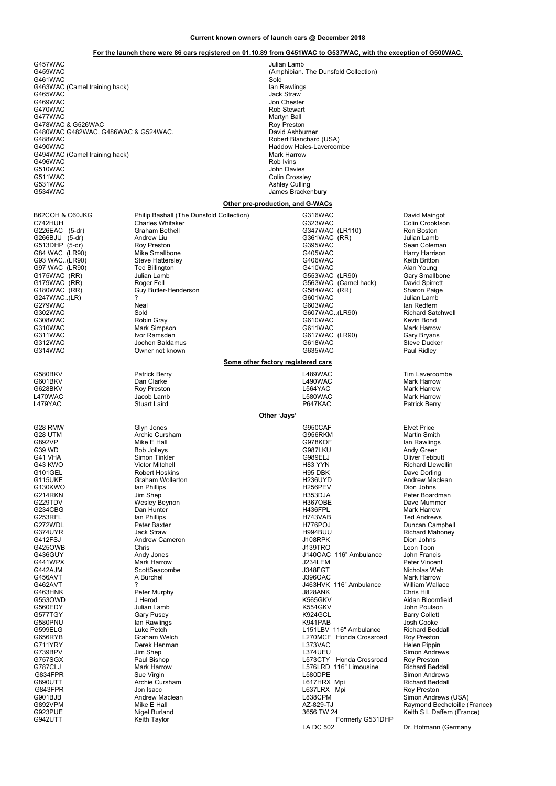#### Current known owners of launch cars @ December 2018

#### For the launch there were 86 cars registered on 01.10.89 from G451WAC to G537WAC, with the exception of G500WAC.

G457WAC Julian Lamb 30 (A457WAC 30)<br>G459WAC Julian Lamb 30 (Amphibian 30) G461WAC<br>G461WAC<br>G463WAC (Camel training hack) sold and Rawlings G463WAC (Camel training hack)<br>G465WAC G465WAC Jack Straw G469WAC Jon Chester<br>G470WAC Jon Chester CATOWAC Jon Chester G470WAC GAT CONSULTER SAN A SERVER AND STRUCK AND STRUCK AND ROB STRUCK AND RESIDENCE A SAN AND RESIDENCE A SA<br>CALL CATTWAC G477WAC **Martyn Ball** G478WAC & G526WAC<br>G480WAC G482WAC. G486WAC & G524WAC. <br>David Ashburner G480WAC G482WAC, G486WAC & G524WAC.<br>G488WAC G488WAC Robert Blanchard (USA)<br>G488WAC Robert Blanchard (USA)<br>G490WAC Haddow Hales-Lavercon G494WAC (Camel training hack)<br>G496WAC Mark Harrow Mark Harrow Mark Harrow Mark Harrow Mark Harrow Mark Harrow Mark Harrow Mark Harrow Mark H G496WAC<br>G510WAC G510WAC John Davies<br>G511WAC G511WAC G511WAC COLIN COLLECT COLLECT COLLECT COLLECT COLLECT COLLECT COLLECT COLLECT COLLECT COLLECT COLLECT COLLECT COLLECT COLLECT COLLECT COLLECT COLLECT COLLECT COLLECT COLLECT COLLECT COLLECT COLLECT COLLECT COLLECT COLLECT GSTATIVING<br>G531WAC Ashley Culling<br>G534WAC James Bracket

G580BKV Patrick Berry L489WAC Tim Lavercombe G601BKV Dan Clarke L490WAC Mark Harrow G628BKV Roy Preston L564YAC Mark Harrow L470WAC Jacob Lamb L580WAC Mark Harrow L479YAC Stuart Laird P647KAC Patrick Berry

B62COH & C60JKG Philip Bashall (The Dunsfold Collection) 6316WAC CALL Bavid Maingot<br>C742HUH Charles Whitaker Collection C323WAC G323WAC C742HUH Charles Whitaker Colin Crooking C323WAC Colin Crooking Colin Crooking Colin Crooking Colin Crooking Colin Crooking Colin Crooking Colin Crooking Colin Crooking Colin Crooking Colin Crooking Colin Crooking Colin Cro G226EAC (5-dr) Graham Bethell G347WAC (LR110) Ron Boston<br>G266BJU (5-dr) Andrew Liu G361WAC (RR) Julian Lamb G266BJU (5-dr) Andrew Liu G361WAC (RR) Julian Lamb G513DHP (5-dr) Roy Preston G395WAC Sean Coleman G84 WAC (LR90) Mike Smallbone G405WAC Harry Harrison G93 WAC..(LR90) Steve Hattersley G406WAC Keith Britton G97 WAC(LR90) Ted Billington G410WAC Alan Young G175WAC (RR) Julian Lamb G553WAC (LR90) Gary Smallbone G179WAC (RR) Roger Fell G563WAC (Camel hack) David Spirrett G180WAC (RR) Guy Butler-Henderson G584WAC (RR) Sharon Paige G247WAC..(LR) ? G601WAC Julian Lamb G279WAC Neal G603WAC Ian Redfern G302WAC Sold G607WAC..(LR90) Richard Satchwell G308WAC Robin Gray G610WAC Kevin Bond G310WAC Mark Simpson G511WAC G611WAC Mark Harrow G311WAC Ivor Ramsden G617WAC (LR90) Gary Bryans G312WAC Jochen Baldamus G618WAC Steve Ducker Owner not known

(Amphibian. The Dunsfold Collection)<br>Sold Haddow Hales-Lavercombe<br>Mark Harrow James Brackenbury

#### Other pre-production, and G-WACs

Some other factory registered cars

#### Other 'Jays'

G28 RMW Glyn Jones G950CAF Elvet Price G28 UTM Archie Cursham G956RKM Martin Smith G892VP Mike E Hall G978KOF Ian Rawlings G39 WD Bob Jolleys G987LKU Andy Greer G41 VHA Simon Tinkler G989ELJ Oliver Tebbutt G43 KWO Victor Mitchell H83 YYN Richard Llewellin G101GEL Robert Hoskins H95 DBK Dave Dorling G115UKE Graham Wollerton H236UYD Andrew Maclean G130KWO Ian Phillips H256PEV Dion Johns G214RKN Jim Shep H353DJA Peter Boardman G229TDV Wesley Beynon H367OBE Dave Mummer G234CBG Dan Hunter H436FPL Mark Harrow G253RFL Ian Phillips H743VAB Ted Andrews G272WDL Peter Baxter And Computer H776POJ Buncan Campbell Buncan Cempell G374UYR Jack Straw H994BUU Richard Mahoney G412FSJ Andrew Cameron J108RPK Dion Johns G425OWB Chris J139TRO Leon Toon G436GUY Andy Jones J140OAC 116" Ambulance John Francis G441WPX Mark Harrow J234LEM Peter Vincent G442AJM ScottSeacombe J348FGT Nicholas Web G456AVT A Burchel J396OAC Mark Harrow G462AVT ? J463HVK 116" Ambulance William Wallace G463HNK Peter Murphy J828ANK Chris Hill G553OWD J Herod K565GKV Aidan Bloomfield G560EDY Julian Lamb K554GKV John Poulson G577TGY Gary Pusey K924GCL Barry Collett G580PNU lan Rawlings K941PAB Josh Cooke G599ELG Luke Petch L151LBV 116" Ambulance Richard Beddall G656RYB Graham Welch L270MCF Honda Crossroad Roy Preston G711YRY Derek Henman L373VAC Helen Pippin G739BPV Jim Shep L374UEU Simon Andrews G757SGX Paul Bishop L573CTY Honda Crossroad Roy Preston G787CLJ Mark Harrow L576LRD 116" Limousine Richard Beddall G834FPR Sue Virgin L580DPE Simon Andrews G890UTT Archie Cursham L617HRX Mpi Richard Beddall G843FPR Jon Isacc Jon Isacc Learned L637LRX Mpi<br>G901BJB Andrew Maclean L838CPM L838CPM Simon Andre G901BJB Andrew Maclean L838CPM Simon Andrews (USA) G892VPM Mike E Hall AZ-829-TJ Raymond Bechetoille (France) G923PUE Nigel Burland 3656 TW 24 Keith S L Daffern (France) Formerly G531DHP<br>LA DC 502

Dr. Hofmann (Germany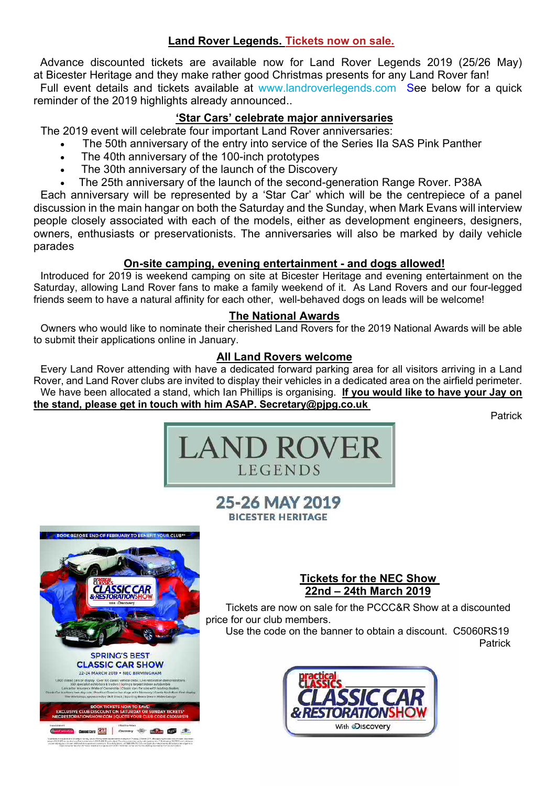## Land Rover Legends. Tickets now on sale.

Advance discounted tickets are available now for Land Rover Legends 2019 (25/26 May) at Bicester Heritage and they make rather good Christmas presents for any Land Rover fan! Full event details and tickets available at www.landroverlegends.com See below for a quick

reminder of the 2019 highlights already announced..

## 'Star Cars' celebrate major anniversaries

The 2019 event will celebrate four important Land Rover anniversaries:

- The 50th anniversary of the entry into service of the Series IIa SAS Pink Panther
- The 40th anniversary of the 100-inch prototypes
- The 30th anniversary of the launch of the Discovery
- The 25th anniversary of the launch of the second-generation Range Rover. P38A

Each anniversary will be represented by a 'Star Car' which will be the centrepiece of a panel discussion in the main hangar on both the Saturday and the Sunday, when Mark Evans will interview people closely associated with each of the models, either as development engineers, designers, owners, enthusiasts or preservationists. The anniversaries will also be marked by daily vehicle parades

## On-site camping, evening entertainment - and dogs allowed!

Introduced for 2019 is weekend camping on site at Bicester Heritage and evening entertainment on the Saturday, allowing Land Rover fans to make a family weekend of it. As Land Rovers and our four-legged friends seem to have a natural affinity for each other, well-behaved dogs on leads will be welcome!

## The National Awards

Owners who would like to nominate their cherished Land Rovers for the 2019 National Awards will be able to submit their applications online in January.

## All Land Rovers welcome

Every Land Rover attending with have a dedicated forward parking area for all visitors arriving in a Land Rover, and Land Rover clubs are invited to display their vehicles in a dedicated area on the airfield perimeter. We have been allocated a stand, which Ian Phillips is organising. If you would like to have your Jay on the stand, please get in touch with him ASAP. Secretary@pjpg.co.uk

**Patrick** 



# 25-26 MAY 2019 **BICESTER HERITAGE**



## Tickets for the NEC Show 22nd – 24th March 2019

Tickets are now on sale for the PCCC&R Show at a discounted price for our club members.

Use the code on the banner to obtain a discount. C5060RS19 Patrick